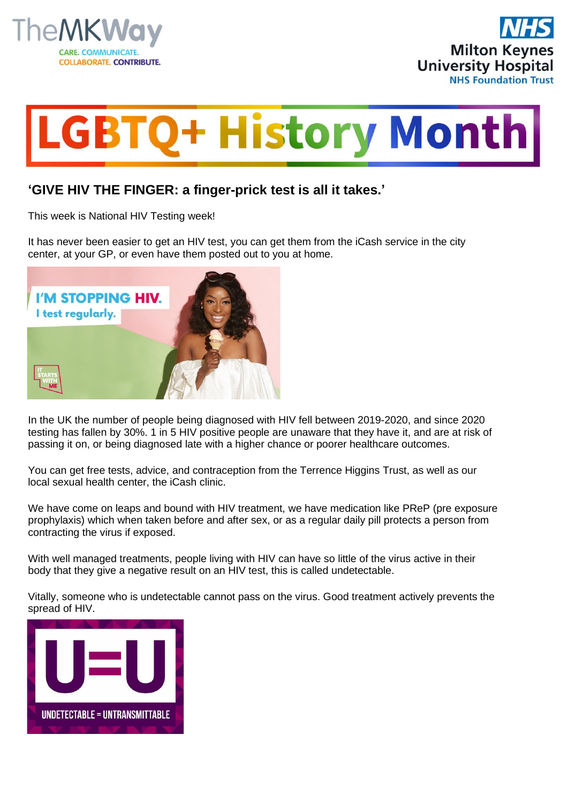





## **'GIVE HIV THE FINGER: a finger-prick test is all it takes.'**

This week is National HIV Testing week!

It has never been easier to get an HIV test, you can get them from the iCash service in the city center, at your GP, or even have them posted out to you at home.



In the UK the number of people being diagnosed with HIV fell between 2019-2020, and since 2020 testing has fallen by 30%. 1 in 5 HIV positive people are unaware that they have it, and are at risk of passing it on, or being diagnosed late with a higher chance or poorer healthcare outcomes.

You can get free tests, advice, and contraception from the Terrence Higgins Trust, as well as our local sexual health center, the iCash clinic.

We have come on leaps and bound with HIV treatment, we have medication like PReP (pre exposure prophylaxis) which when taken before and after sex, or as a regular daily pill protects a person from contracting the virus if exposed.

With well managed treatments, people living with HIV can have so little of the virus active in their body that they give a negative result on an HIV test, this is called undetectable.

Vitally, someone who is undetectable cannot pass on the virus. Good treatment actively prevents the spread of HIV.